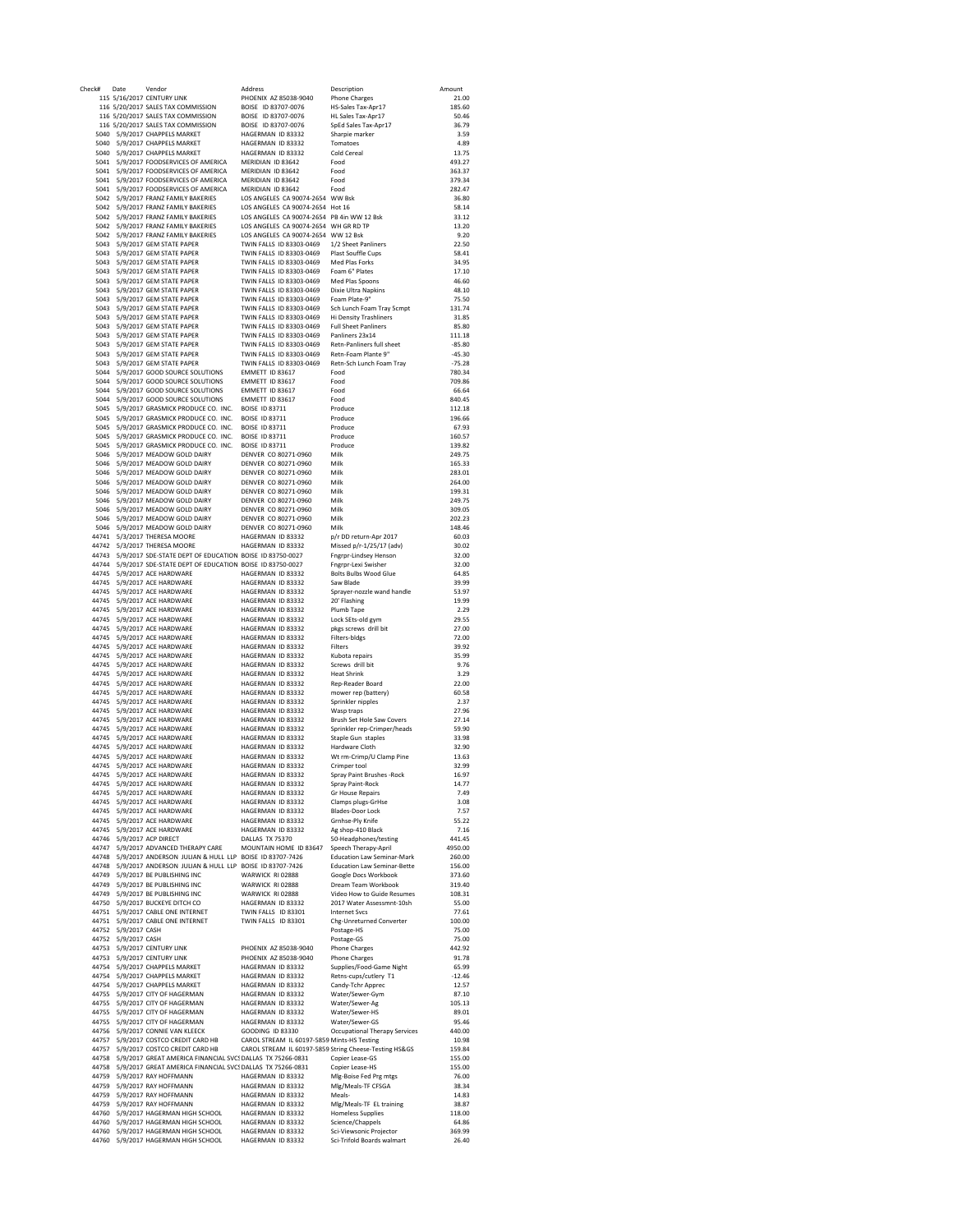| Check# | Date                | Vendor                                                                     | Address                                     | Description                                            | Amount   |
|--------|---------------------|----------------------------------------------------------------------------|---------------------------------------------|--------------------------------------------------------|----------|
|        |                     | 115 5/16/2017 CENTURY LINK                                                 | PHOENIX AZ 85038-9040                       | <b>Phone Charges</b>                                   | 21.00    |
|        |                     | 116 5/20/2017 SALES TAX COMMISSION                                         | BOISE ID 83707-0076                         | HS-Sales Tax-Apr17                                     | 185.60   |
|        |                     | 116 5/20/2017 SALES TAX COMMISSION                                         | BOISE ID 83707-0076                         | HL Sales Tax-Apr17                                     | 50.46    |
|        |                     | 116 5/20/2017 SALES TAX COMMISSION                                         | BOISE ID 83707-0076                         | SpEd Sales Tax-Apr17                                   | 36.79    |
|        |                     | 5040 5/9/2017 CHAPPELS MARKET                                              | HAGFRMAN ID 83332                           | Sharpie marker                                         | 3.59     |
|        |                     | 5040 5/9/2017 CHAPPELS MARKET                                              | HAGERMAN ID 83332                           | Tomatoes                                               | 4.89     |
|        |                     | 5040 5/9/2017 CHAPPELS MARKET                                              | HAGERMAN ID 83332                           | Cold Cereal                                            | 13.75    |
|        |                     | 5041 5/9/2017 FOODSERVICES OF AMERICA                                      | MERIDIAN ID 83642                           | Food                                                   | 493.27   |
|        |                     | 5041 5/9/2017 FOODSERVICES OF AMERICA                                      | MERIDIAN ID 83642                           | Food                                                   | 363.37   |
|        |                     | 5041 5/9/2017 FOODSERVICES OF AMERICA                                      | MERIDIAN ID 83642                           | Food                                                   | 379.34   |
|        |                     | 5041 5/9/2017 FOODSERVICES OF AMERICA                                      | MERIDIAN ID 83642                           | Food                                                   | 282.47   |
|        |                     | 5042 5/9/2017 FRANZ FAMILY BAKERIES                                        | LOS ANGELES CA 90074-2654 WW Bsk            |                                                        | 36.80    |
|        |                     | 5042 5/9/2017 FRANZ FAMILY BAKERIES                                        | LOS ANGELES CA 90074-2654 Hot 16            |                                                        | 58.14    |
|        |                     | 5042 5/9/2017 FRANZ FAMILY BAKERIES                                        | LOS ANGELES CA 90074-2654 PB 4in WW 12 Bsk  |                                                        | 33.12    |
|        |                     | 5042 5/9/2017 FRANZ FAMILY BAKERIES                                        | LOS ANGELES CA 90074-2654 WH GR RD TP       |                                                        | 13.20    |
|        |                     | 5042 5/9/2017 FRANZ FAMILY BAKERIES                                        | LOS ANGELES CA 90074-2654 WW 12 Bsk         |                                                        | 9.20     |
|        |                     | 5043 5/9/2017 GEM STATE PAPER                                              | TWIN FALLS ID 83303-0469                    | 1/2 Sheet Panliners                                    | 22.50    |
|        |                     | 5043 5/9/2017 GEM STATE PAPER                                              | TWIN FALLS ID 83303-0469                    | Plast Souffle Cups                                     | 58.41    |
| 5043   |                     | 5/9/2017 GEM STATE PAPER                                                   | TWIN FALLS ID 83303-0469                    | Med Plas Forks                                         | 34.95    |
|        |                     | 5043 5/9/2017 GEM STATE PAPER                                              | TWIN FALLS ID 83303-0469                    | Foam 6" Plates                                         | 17.10    |
| 5043   |                     | 5/9/2017 GEM STATE PAPER                                                   | TWIN FALLS ID 83303-0469                    | Med Plas Spoons                                        | 46.60    |
| 5043   |                     | 5/9/2017 GEM STATE PAPER                                                   | TWIN FALLS ID 83303-0469                    | Dixie Ultra Napkins                                    | 48.10    |
| 5043   |                     | 5/9/2017 GEM STATE PAPER                                                   | TWIN FALLS ID 83303-0469                    | Foam Plate-9"                                          | 75.50    |
| 5043   |                     | 5/9/2017 GEM STATE PAPER                                                   | TWIN FALLS ID 83303-0469                    | Sch Lunch Foam Tray 5cmpt                              | 131.74   |
|        |                     | 5043 5/9/2017 GEM STATE PAPER                                              | TWIN FALLS ID 83303-0469                    | Hi Density Trashliners                                 | 31.85    |
|        |                     | 5043 5/9/2017 GEM STATE PAPER                                              | TWIN FALLS ID 83303-0469                    | <b>Full Sheet Panliners</b>                            | 85.80    |
|        |                     | 5043 5/9/2017 GEM STATE PAPER                                              | TWIN FALLS ID 83303-0469                    | Panliners 23x14                                        | 111.18   |
|        |                     | 5043 5/9/2017 GEM STATE PAPER                                              | TWIN FALLS ID 83303-0469                    | Retn-Panliners full sheet                              | $-85.80$ |
|        |                     | 5043 5/9/2017 GEM STATE PAPER                                              | TWIN FALLS ID 83303-0469                    | Retn-Foam Plante 9"                                    | $-45.30$ |
|        |                     | 5043 5/9/2017 GEM STATE PAPER                                              | TWIN FALLS ID 83303-0469                    | Retn-Sch Lunch Foam Tray                               | $-75.28$ |
|        |                     | 5044 5/9/2017 GOOD SOURCE SOLUTIONS                                        | EMMETT ID 83617                             | Food                                                   | 780.34   |
|        |                     | 5044 5/9/2017 GOOD SOURCE SOLUTIONS                                        | EMMETT ID 83617                             | Food                                                   | 709.86   |
|        |                     | 5044 5/9/2017 GOOD SOURCE SOLUTIONS                                        | FMMFTT ID 83617                             | Food                                                   | 66.64    |
| 5044   |                     | 5/9/2017 GOOD SOURCE SOLUTIONS                                             | EMMETT ID 83617                             | Food                                                   | 840.45   |
|        |                     | 5045 5/9/2017 GRASMICK PRODUCE CO. INC. BOISE ID 83711                     |                                             | Produce                                                | 112.18   |
|        |                     | 5045 5/9/2017 GRASMICK PRODUCE CO. INC. BOISE ID 83711                     |                                             | Produce                                                | 196.66   |
|        |                     | 5045 5/9/2017 GRASMICK PRODUCE CO. INC.                                    | <b>BOISE ID 83711</b>                       | Produce                                                | 67.93    |
|        |                     | 5045 5/9/2017 GRASMICK PRODUCE CO. INC.                                    | BOISE ID 83711                              | Produce                                                | 160.57   |
|        |                     | 5045 5/9/2017 GRASMICK PRODUCE CO. INC. BOISE ID 83711                     |                                             | Produce                                                | 139.82   |
|        |                     | 5046 5/9/2017 MEADOW GOLD DAIRY                                            | DENVER CO 80271-0960                        | Milk                                                   | 249.75   |
| 5046   |                     | 5/9/2017 MEADOW GOLD DAIRY                                                 | DENVER CO 80271-0960                        | Milk                                                   | 165.33   |
| 5046   |                     | 5/9/2017 MEADOW GOLD DAIRY                                                 | DENVER CO 80271-0960                        | Milk                                                   | 283.01   |
| 5046   |                     | 5/9/2017 MEADOW GOLD DAIRY                                                 | DENVER CO 80271-0960                        | Milk                                                   | 264.00   |
| 5046   |                     | 5/9/2017 MEADOW GOLD DAIRY                                                 | DENVER CO 80271-0960                        | Milk                                                   | 199.31   |
| 5046   |                     |                                                                            | DENVER CO 80271-0960                        | Milk                                                   |          |
|        |                     | 5/9/2017 MEADOW GOLD DAIRY                                                 |                                             |                                                        | 249.75   |
| 5046   |                     | 5/9/2017 MEADOW GOLD DAIRY<br>5/9/2017 MEADOW GOLD DAIRY                   | DENVER CO 80271-0960                        | Milk                                                   | 309.05   |
| 5046   |                     |                                                                            | DENVER CO 80271-0960                        | Milk                                                   | 202.23   |
| 5046   |                     | 5/9/2017 MEADOW GOLD DAIRY                                                 | DENVER CO 80271-0960                        | Milk                                                   | 148.46   |
| 44741  |                     | 5/3/2017 THERESA MOORE                                                     | HAGERMAN ID 83332                           | p/r DD return-Apr 2017                                 | 60.03    |
| 44742  |                     | 5/3/2017 THERESA MOORE                                                     | HAGERMAN ID 83332                           | Missed p/r-1/25/17 (adv)                               | 30.02    |
|        |                     | 44743 5/9/2017 SDE-STATE DEPT OF EDUCATION BOISE ID 83750-0027             |                                             | Fngrpr-Lindsey Henson                                  | 32.00    |
|        |                     | 44744 5/9/2017 SDE-STATE DEPT OF EDUCATION BOISE ID 83750-0027             |                                             | Fngrpr-Lexi Swisher                                    | 32.00    |
|        |                     | 44745 5/9/2017 ACE HARDWARE                                                | HAGERMAN ID 83332                           | Bolts Bulbs Wood Glue                                  | 64.85    |
|        |                     | 44745 5/9/2017 ACE HARDWARE                                                | HAGERMAN ID 83332                           | Saw Blade                                              | 39.99    |
|        |                     | 44745 5/9/2017 ACE HARDWARE                                                | HAGERMAN ID 83332                           | Sprayer-nozzle wand handle                             | 53.97    |
|        |                     | 44745 5/9/2017 ACE HARDWARE                                                | HAGERMAN ID 83332                           | 20' Flashing                                           | 19.99    |
|        |                     | 44745 5/9/2017 ACE HARDWARE                                                | HAGERMAN ID 83332                           | Plumb Tape                                             | 2.29     |
|        |                     | 44745 5/9/2017 ACE HARDWARE                                                | HAGERMAN ID 83332                           | Lock SEts-old gym                                      | 29.55    |
|        |                     | 44745 5/9/2017 ACE HARDWARE                                                | HAGERMAN ID 83332                           | pkgs screws drill bit                                  | 27.00    |
|        |                     | 44745 5/9/2017 ACE HARDWARE                                                | HAGERMAN ID 83332                           | Filters-bldgs                                          | 72.00    |
|        |                     | 44745 5/9/2017 ACE HARDWARE                                                | HAGERMAN ID 83332                           | Filters                                                | 39.92    |
|        |                     | 44745 5/9/2017 ACE HARDWARE                                                | HAGERMAN ID 83332                           | Kubota repairs                                         | 35.99    |
|        |                     | 44745 5/9/2017 ACE HARDWARE                                                | HAGERMAN ID 83332                           | Screws drill bit                                       | 9.76     |
|        |                     | 44745 5/9/2017 ACE HARDWARE                                                | HAGERMAN ID 83332                           | <b>Heat Shrink</b>                                     | 3.29     |
|        |                     | 44745 5/9/2017 ACE HARDWARE                                                | HAGERMAN ID 83332                           | Rep-Reader Board                                       | 22.00    |
|        |                     | 44745 5/9/2017 ACE HARDWARE                                                | HAGERMAN ID 83332                           | mower rep (battery)                                    | 60.58    |
|        |                     | 44745 5/9/2017 ACE HARDWARE                                                | HAGERMAN ID 83332                           | Sprinkler nipples                                      | 2.37     |
|        |                     | 44745 5/9/2017 ACE HARDWARE                                                | HAGERMAN ID 83332                           | Wasp traps                                             | 27.96    |
| 44745  |                     | 5/9/2017 ACE HARDWARE                                                      | HAGERMAN ID 83332                           | Brush Set Hole Saw Covers                              | 27.14    |
| 44745  |                     | 5/9/2017 ACE HARDWARE                                                      | HAGERMAN ID 83332                           | Sprinkler rep-Crimper/heads                            | 59.90    |
| 44745  |                     | 5/9/2017 ACE HARDWARE                                                      | HAGERMAN ID 83332                           | Staple Gun staples                                     | 33.98    |
| 44745  |                     | 5/9/2017 ACE HARDWARE                                                      | HAGERMAN ID 83332                           | Hardware Cloth                                         | 32.90    |
| 44745  |                     | 5/9/2017 ACE HARDWARE                                                      | HAGERMAN ID 83332                           | Wt rm-Crimp/U Clamp Pine                               | 13.63    |
| 44745  |                     | 5/9/2017 ACE HARDWARE                                                      | HAGERMAN ID 83332                           | Crimper tool                                           | 32.99    |
| 44745  |                     | 5/9/2017 ACE HARDWARE                                                      | HAGERMAN ID 83332                           | Spray Paint Brushes - Rock                             | 16.97    |
| 44745  |                     | 5/9/2017 ACE HARDWARE                                                      | HAGERMAN ID 83332                           | Spray Paint-Rock                                       | 1477     |
|        |                     | 44745 5/9/2017 ACE HARDWARE                                                | HAGERMAN ID 83332                           | Gr House Repairs                                       | 7.49     |
|        |                     | 44745 5/9/2017 ACE HARDWARE                                                | HAGERMAN ID 83332                           | Clamps plugs-GrHse                                     | 3.08     |
|        |                     | 44745 5/9/2017 ACE HARDWARE                                                | HAGERMAN ID 83332                           | Blades-Door Lock                                       | 7.57     |
|        |                     | 44745 5/9/2017 ACE HARDWARE                                                | HAGERMAN ID 83332                           | Grnhse-Ply Knife                                       | 55.22    |
|        |                     | 44745 5/9/2017 ACE HARDWARE                                                | HAGERMAN ID 83332                           | Ag shop-410 Black                                      | 7.16     |
|        |                     | 44746 5/9/2017 ACP DIRECT                                                  | DALLAS TX 75370                             | 50-Headphones/testing                                  | 441.45   |
|        |                     | 44747 5/9/2017 ADVANCED THERAPY CARE                                       | MOUNTAIN HOME ID 83647 Speech Therapy-April |                                                        | 4950.00  |
|        |                     | 44748 5/9/2017 ANDERSON JULIAN & HULL LLP BOISE ID 83707-7426              |                                             | <b>Education Law Seminar-Mark</b>                      | 260.00   |
|        |                     | 44748 5/9/2017 ANDERSON JULIAN & HULL LLP BOISE ID 83707-7426              |                                             | <b>Education Law Seminar-Bette</b>                     | 156.00   |
|        |                     | 44749 5/9/2017 BE PUBLISHING INC                                           | WARWICK RI 02888                            | Google Docs Workbook                                   | 373.60   |
|        |                     | 44749 5/9/2017 BE PUBLISHING INC                                           | WARWICK RI 02888                            | Dream Team Workbook                                    | 319.40   |
|        |                     | 44749 5/9/2017 BE PUBLISHING INC                                           | WARWICK RI 02888                            | Video How to Guide Resumes                             | 108.31   |
|        |                     | 44750 5/9/2017 BUCKEYE DITCH CO                                            | HAGERMAN ID 83332                           | 2017 Water Assessmnt-10sh                              | 55.00    |
|        |                     | 44751 5/9/2017 CABLE ONE INTERNET                                          | TWIN FALLS ID 83301                         | <b>Internet Sycs</b>                                   | 77.61    |
|        |                     | 44751 5/9/2017 CABLE ONE INTERNET                                          | TWIN FALLS ID 83301                         | Chg-Unreturned Converter                               | 100.00   |
|        | 44752 5/9/2017 CASH |                                                                            |                                             | Postage-HS                                             | 75.00    |
|        | 44752 5/9/2017 CASH |                                                                            |                                             | Postage-GS                                             | 75.00    |
|        |                     | 44753 5/9/2017 CENTURY LINK                                                | PHOENIX AZ 85038-9040                       | <b>Phone Charges</b>                                   | 442.92   |
|        |                     | 44753 5/9/2017 CENTURY LINK                                                | PHOENIX AZ 85038-9040                       | <b>Phone Charges</b>                                   | 91.78    |
|        |                     | 44754 5/9/2017 CHAPPELS MARKET                                             | HAGERMAN ID 83332                           | Supplies/Food-Game Night                               | 65.99    |
|        |                     | 44754 5/9/2017 CHAPPELS MARKET                                             | HAGERMAN ID 83332                           | Retns-cups/cutlery T1                                  | $-12.46$ |
|        |                     | 44754 5/9/2017 CHAPPELS MARKET                                             | HAGERMAN ID 83332                           | Candy-Tchr Apprec                                      | 12.57    |
|        |                     | 44755 5/9/2017 CITY OF HAGERMAN                                            | HAGERMAN ID 83332                           | Water/Sewer-Gym                                        | 87.10    |
|        |                     | 44755 5/9/2017 CITY OF HAGERMAN                                            | HAGERMAN ID 83332                           | Water/Sewer-Ag                                         | 105.13   |
|        |                     | 44755 5/9/2017 CITY OF HAGERMAN                                            | HAGERMAN ID 83332                           | Water/Sewer-HS                                         | 89.01    |
|        |                     | 44755 5/9/2017 CITY OF HAGERMAN                                            | HAGERMAN ID 83332                           | Water/Sewer-GS                                         | 95.46    |
|        |                     | 44756 5/9/2017 CONNIE VAN KLEECK                                           | <b>GOODING ID 83330</b>                     | Occupational Therapy Services                          | 440.00   |
|        |                     | 44757 5/9/2017 COSTCO CREDIT CARD HB                                       | CAROL STREAM IL 60197-5859 Mints-HS Testing |                                                        | 10.98    |
|        |                     | 44757 5/9/2017 COSTCO CREDIT CARD HB                                       |                                             | CAROL STREAM IL 60197-5859 String Cheese-Testing HS&GS | 159.84   |
|        |                     | 44758 5/9/2017 GREAT AMERICA FINANCIAL SVCS DALLAS TX 75266-0831           |                                             | Copier Lease-GS                                        | 155.00   |
|        |                     | 44758 5/9/2017 GREAT AMERICA FINANCIAL SVCSDALLAS TX 75266-0831            |                                             | Copier Lease-HS                                        | 155.00   |
|        |                     | 44759 5/9/2017 RAY HOFFMANN                                                | HAGERMAN ID 83332                           | Mlg-Boise Fed Prg mtgs                                 | 76.00    |
|        |                     | 44759 5/9/2017 RAY HOFFMANN                                                | HAGERMAN ID 83332                           | Mlg/Meals-TF CFSGA                                     | 38.34    |
|        |                     | 44759 5/9/2017 RAY HOFFMANN                                                | HAGERMAN ID 83332                           | Meals-                                                 | 14.83    |
|        |                     | 44759 5/9/2017 RAY HOFFMANN                                                | HAGERMAN ID 83332                           | Mlg/Meals-TF EL training                               | 38.87    |
|        |                     |                                                                            |                                             |                                                        |          |
|        |                     | 44760 5/9/2017 HAGERMAN HIGH SCHOOL                                        | HAGERMAN ID 83332                           | <b>Homeless Supplies</b>                               | 118.00   |
|        |                     | 44760 5/9/2017 HAGERMAN HIGH SCHOOL                                        | HAGERMAN ID 83332                           | Science/Chappels                                       | 64.86    |
|        |                     | 44760 5/9/2017 HAGERMAN HIGH SCHOOL<br>44760 5/9/2017 HAGERMAN HIGH SCHOOL | HAGERMAN ID 83332                           | Sci-Viewsonic Projector                                | 369.99   |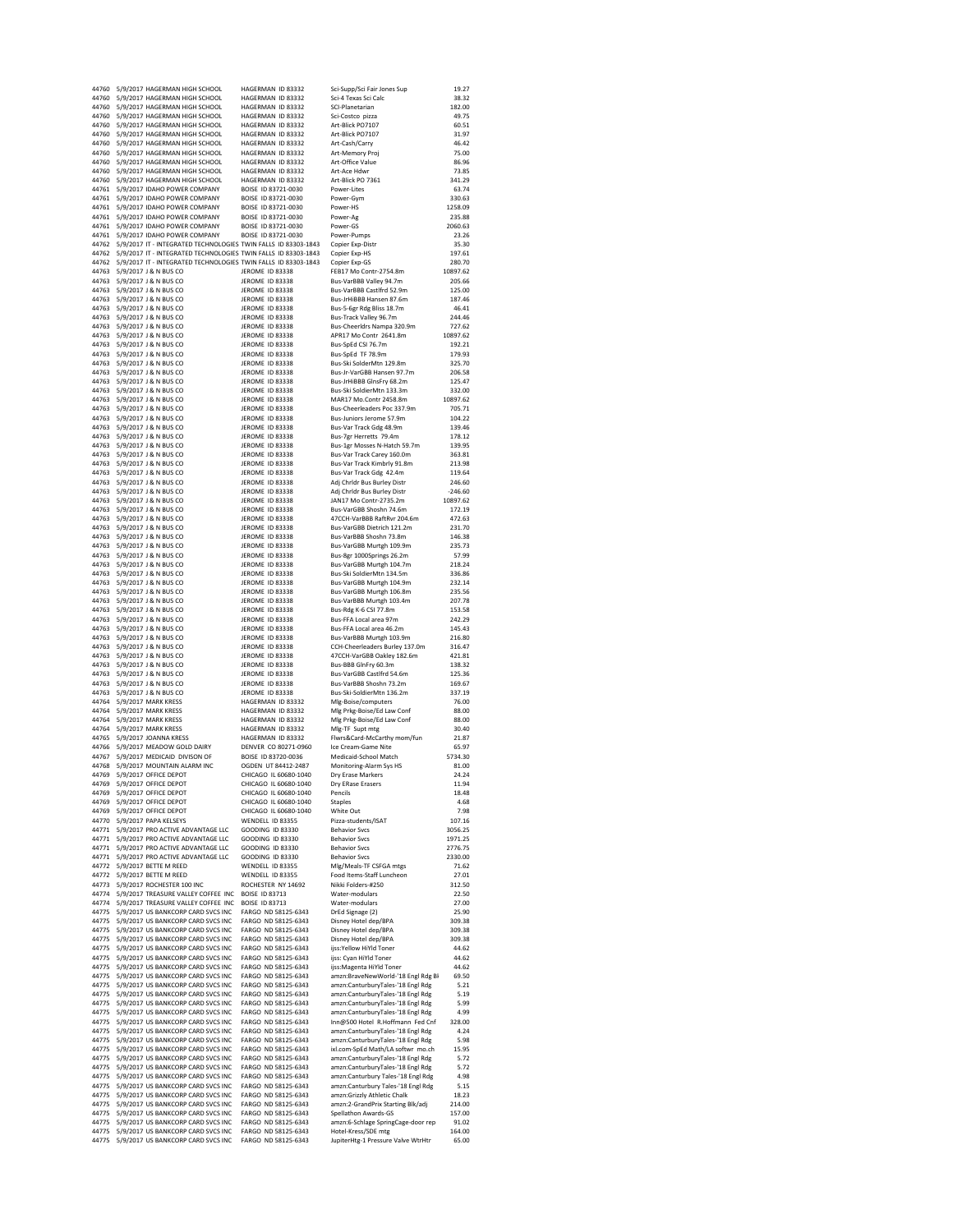|       | 44760 5/9/2017 HAGERMAN HIGH SCHOOL                                                   | HAGERMAN ID 83332                          | Sci-Supp/Sci Fair Jones Sup                                            | 19.27            |
|-------|---------------------------------------------------------------------------------------|--------------------------------------------|------------------------------------------------------------------------|------------------|
|       | 44760 5/9/2017 HAGERMAN HIGH SCHOOL                                                   | HAGERMAN ID 83332                          | Sci-4 Texas Sci Calc                                                   | 38.32            |
|       | 44760 5/9/2017 HAGERMAN HIGH SCHOOL                                                   | HAGERMAN ID 83332                          | SCI-Planetarian                                                        | 182.00           |
|       | 44760 5/9/2017 HAGERMAN HIGH SCHOOL                                                   | HAGERMAN ID 83332                          | Sci-Costco pizza                                                       | 49.75            |
|       | 44760 5/9/2017 HAGERMAN HIGH SCHOOL                                                   | HAGERMAN ID 83332                          | Art-Blick PO7107                                                       | 60.51            |
| 44760 | 5/9/2017 HAGERMAN HIGH SCHOOL                                                         | HAGERMAN ID 83332                          | Art-Blick PO7107                                                       | 31.97            |
| 44760 | 5/9/2017 HAGERMAN HIGH SCHOOL                                                         | HAGERMAN ID 83332                          | Art-Cash/Carry                                                         | 46.42            |
| 44760 | 5/9/2017 HAGERMAN HIGH SCHOOL                                                         | HAGERMAN ID 83332                          | Art-Memory Proj                                                        | 75.00            |
| 44760 | 5/9/2017 HAGERMAN HIGH SCHOOL                                                         | HAGERMAN ID 83332                          | Art-Office Value                                                       | 86.96            |
| 44760 | 5/9/2017 HAGERMAN HIGH SCHOOL                                                         | HAGERMAN ID 83332                          | Art-Ace Hdwr                                                           | 73.85            |
| 44760 | 5/9/2017 HAGERMAN HIGH SCHOOL                                                         | HAGERMAN ID 83332                          | Art-Blick PO 7361                                                      | 341.29           |
| 44761 | 5/9/2017 IDAHO POWER COMPANY                                                          | BOISE ID 83721-0030                        | Power-Lites                                                            | 63.74            |
| 44761 | 5/9/2017 IDAHO POWER COMPANY                                                          | BOISE ID 83721-0030                        | Power-Gym                                                              | 330.63           |
| 44761 | 5/9/2017 IDAHO POWER COMPANY                                                          | BOISE ID 83721-0030                        | Power-HS                                                               | 1258.09          |
| 44761 | 5/9/2017 IDAHO POWER COMPANY                                                          | BOISE ID 83721-0030                        | Power-Ag                                                               | 235.88           |
| 44761 | 5/9/2017 IDAHO POWER COMPANY                                                          | BOISE ID 83721-0030                        | Power-GS                                                               | 2060.63          |
| 44761 | 5/9/2017 IDAHO POWER COMPANY                                                          | BOISE ID 83721-0030                        | Power-Pumps                                                            | 23.26            |
| 44762 | 5/9/2017 IT - INTEGRATED TECHNOLOGIES TWIN FALLS ID 83303-1843                        |                                            | Copier Exp-Distr                                                       | 35.30            |
| 44762 | 5/9/2017 IT - INTEGRATED TECHNOLOGIES TWIN FALLS ID 83303-1843                        |                                            | Copier Exp-HS                                                          | 197.61           |
| 44762 | 5/9/2017 IT - INTEGRATED TECHNOLOGIES TWIN FALLS ID 83303-1843                        |                                            | Copier Exp-GS                                                          | 280.70           |
| 44763 | 5/9/2017 J & N BUS CO                                                                 | <b>JEROME ID 83338</b>                     | FEB17 Mo Contr-2754.8m                                                 | 10897.62         |
| 44763 | 5/9/2017 J & N BUS CO                                                                 | <b>IFROME ID 83338</b>                     | Bus-VarBBB Valley 94.7m                                                | 205.66           |
| 44763 | 5/9/2017 J & N BUS CO                                                                 | JEROME ID 83338                            | Bus-VarBBB Castlfrd 52.9m                                              | 125.00           |
|       | 44763 5/9/2017 J & N BUS CO                                                           | JEROME ID 83338                            | Bus-JrHiBBB Hansen 87.6m                                               | 187.46           |
| 44763 | 5/9/2017 J & N BUS CO                                                                 | JEROME ID 83338                            | Bus-5-6gr Rdg Bliss 18.7m                                              | 46.41            |
|       | 44763 5/9/2017 J & N BUS CO                                                           | <b>JEROME ID 83338</b>                     | Bus-Track Valley 96.7m                                                 | 244.46           |
|       | 44763 5/9/2017 J & N BUS CO                                                           | JEROME ID 83338                            | Bus-Cheerldrs Nampa 320.9m                                             | 727.62           |
|       | 44763 5/9/2017 J & N BUS CO                                                           | <b>JEROME ID 83338</b>                     | APR17 Mo Contr 2641.8m                                                 | 10897.62         |
| 44763 | 5/9/2017 J & N BUS CO                                                                 | JEROME ID 83338                            | Bus-SpEd CSI 76.7m                                                     | 192.21           |
| 44763 | 5/9/2017 J & N BUS CO                                                                 | JEROME ID 83338                            | Bus-SpEd TF 78.9m                                                      | 179.93           |
| 44763 | 5/9/2017 J & N BUS CO                                                                 | <b>JEROME ID 83338</b>                     | Bus-Ski SolderMtn 129.8m                                               | 325.70           |
| 44763 | 5/9/2017 J & N BUS CO                                                                 | JEROME ID 83338                            | Bus-Jr-VarGBB Hansen 97.7m                                             | 206.58           |
| 44763 | 5/9/2017 J & N BUS CO                                                                 | JEROME ID 83338                            | Bus-JrHiBBB GlnsFry 68.2m                                              | 125.47           |
| 44763 | 5/9/2017 J & N BUS CO                                                                 | <b>JEROME ID 83338</b>                     | Bus-Ski SoldierMtn 133.3m                                              | 332.00           |
| 44763 | 5/9/2017 J & N BUS CO                                                                 | JEROME ID 83338                            | MAR17 Mo. Contr 2458.8m                                                | 10897.62         |
| 44763 | 5/9/2017 J & N BUS CO                                                                 | JEROME ID 83338                            | Bus-Cheerleaders Poc 337.9m                                            | 705.71           |
| 44763 | 5/9/2017 J & N BUS CO                                                                 | JEROME ID 83338                            | Bus-Juniors Jerome 57.9m                                               | 104.22           |
| 44763 | 5/9/2017 J & N BUS CO                                                                 | JEROME ID 83338                            | Bus-Var Track Gdg 48.9m                                                | 139.46           |
| 44763 | 5/9/2017 J & N BUS CO                                                                 | JEROME ID 83338                            | Bus-7gr Herretts 79.4m                                                 | 178.12           |
|       | 44763 5/9/2017 J & N BUS CO                                                           | <b>JEROME ID 83338</b>                     | Bus-1gr Mosses N-Hatch 59.7m                                           | 139.95           |
| 44763 | 5/9/2017   & N BUS CO                                                                 | <b>IFROME ID 83338</b>                     | Bus-Var Track Carey 160.0m                                             | 363.81           |
| 44763 | 5/9/2017 J & N BUS CO                                                                 | JEROME ID 83338                            | <b>Bus-Var Track Kimbrly 91.8m</b>                                     | 213.98           |
|       | 44763 5/9/2017 J & N BUS CO                                                           | JEROME ID 83338                            | Bus-Var Track Gdg 42.4m                                                | 119.64           |
|       | 44763 5/9/2017 J & N BUS CO                                                           | JEROME ID 83338                            | Adj Chridr Bus Burley Distr                                            | 246.60           |
|       | 44763 5/9/2017 J & N BUS CO                                                           | <b>IFROME ID 83338</b>                     | Adj Chrldr Bus Burley Distr                                            | $-246.60$        |
|       | 44763 5/9/2017 J & N BUS CO                                                           | <b>IFROME ID 83338</b>                     | JAN17 Mo Contr-2735.2m                                                 | 10897.62         |
|       | 44763 5/9/2017 J & N BUS CO                                                           | <b>IFROME ID 83338</b>                     | Bus-VarGBB Shoshn 74.6m                                                | 172.19           |
|       | 44763 5/9/2017 J & N BUS CO                                                           | JEROME ID 83338                            | 47CCH-VarBBB RaftRvr 204.6m                                            | 472.63           |
|       | 44763 5/9/2017 J & N BUS CO                                                           | JEROME ID 83338                            | Bus-VarGBB Dietrich 121.2m                                             | 231.70           |
|       | 44763 5/9/2017 J & N BUS CO                                                           | JEROME ID 83338                            | Bus-VarBBB Shoshn 73.8m                                                | 146.38           |
|       | 44763 5/9/2017 J & N BUS CO                                                           | JEROME ID 83338                            | Bus-VarGBB Murtgh 109.9m                                               | 235.73           |
|       | 44763 5/9/2017 J & N BUS CO                                                           | JEROME ID 83338                            | Bus-8gr 1000Springs 26.2m                                              | 57.99            |
|       | 44763 5/9/2017 J & N BUS CO                                                           | <b>JEROME ID 83338</b>                     | Bus-VarGBB Murtgh 104.7m                                               | 218.24           |
|       | 44763 5/9/2017 J & N BUS CO                                                           | <b>IFROME ID 83338</b>                     | Bus-Ski SoldierMtn 134.5m                                              | 336.86           |
| 44763 | 5/9/2017 J & N BUS CO                                                                 | JEROME ID 83338                            | Bus-VarGBB Murtgh 104.9m                                               | 232.14           |
| 44763 | 5/9/2017 J & N BUS CO                                                                 | JEROME ID 83338                            | Bus-VarGBB Murtgh 106.8m                                               | 235.56           |
| 44763 | 5/9/2017 J & N BUS CO                                                                 | JEROME ID 83338                            | Bus-VarBBB Murtgh 103.4m                                               | 207.78           |
| 44763 | 5/9/2017 J & N BUS CO                                                                 | <b>JEROME ID 83338</b>                     | Bus-Rdg K-6 CSI 77.8m                                                  | 153.58           |
| 44763 | 5/9/2017 J & N BUS CO                                                                 | <b>JEROME ID 83338</b>                     | Bus-FFA Local area 97m                                                 | 242.29           |
| 44763 | 5/9/2017 J & N BUS CO                                                                 | JEROME ID 83338                            | Bus-FFA Local area 46.2m                                               | 145.43           |
| 44763 | 5/9/2017 J & N BUS CO                                                                 | JEROME ID 83338                            | Bus-VarBBB Murtgh 103.9m                                               | 216.80           |
| 44763 | 5/9/2017 J & N BUS CO                                                                 | JEROME ID 83338                            | CCH-Cheerleaders Burley 137.0m                                         | 316.47           |
| 44763 | 5/9/2017 J & N BUS CO                                                                 | JEROME ID 83338                            | 47CCH-VarGBB Oakley 182.6m                                             | 421.81           |
| 44763 | 5/9/2017 J & N BUS CO                                                                 | <b>JEROME ID 83338</b>                     | Bus-BBB GlnFry 60.3m                                                   | 138.32           |
| 44763 | 5/9/2017 J & N BUS CO                                                                 | <b>JEROME ID 83338</b>                     | Bus-VarGBB Castlfrd 54.6m                                              | 125.36           |
| 44763 | 5/9/2017   & N BUS CO                                                                 | <b>JEROME ID 83338</b>                     | Bus-VarBBB Shoshn 73.2m                                                | 169.67           |
| 44763 | 5/9/2017 J & N BUS CO                                                                 | <b>IFROME ID 83338</b>                     | Bus-Ski-SoldierMtn 136.2m                                              | 337.19           |
|       | 44764 5/9/2017 MARK KRESS                                                             | HAGERMAN ID 83332                          | Mlg-Boise/computers                                                    | 76.00            |
|       | 44764 5/9/2017 MARK KRESS                                                             | HAGERMAN ID 83332                          | Mlg Prkg-Boise/Ed Law Conf                                             | 88.00            |
| 44764 | 5/9/2017 MARK KRESS                                                                   | HAGERMAN ID 83332                          | Mlg Prkg-Boise/Ed Law Conf                                             | 88.00            |
|       | 44764 5/9/2017 MARK KRESS                                                             | HAGERMAN ID 83332                          | Mlg-TF Supt mtg                                                        | 30.40            |
| 44765 | 5/9/2017 JOANNA KRESS                                                                 | HAGERMAN ID 83332                          | Flwrs&Card-McCarthy mom/fun                                            | 21.87            |
| 44766 | 5/9/2017 MEADOW GOLD DAIRY                                                            | DENVER CO 80271-0960                       | Ice Cream-Game Nite                                                    | 65.97            |
| 44767 | 5/9/2017 MEDICAID DIVISON OF                                                          | BOISE ID 83720-0036                        | Medicaid-School Match                                                  | 5734.30          |
| 44768 | 5/9/2017 MOUNTAIN ALARM INC                                                           | OGDEN UT 84412-2487                        | Monitoring-Alarm Sys HS                                                | 81.00            |
| 44769 | 5/9/2017 OFFICE DEPOT                                                                 | CHICAGO IL 60680-1040                      | Dry Erase Markers                                                      | 24.24            |
|       | 44769 5/9/2017 OFFICE DEPOT                                                           | CHICAGO IL 60680-1040                      | Dry ERase Erasers                                                      | 11.94            |
|       | 44769 5/9/2017 OFFICE DEPOT                                                           | CHICAGO IL 60680-1040                      | Pencils                                                                | 18.48            |
|       | 44769 5/9/2017 OFFICE DEPOT                                                           | CHICAGO IL 60680-1040                      | <b>Staples</b>                                                         | 4.68             |
|       | 44769 5/9/2017 OFFICE DEPOT                                                           | CHICAGO IL 60680-1040                      | White Out                                                              | 7.98             |
|       | 44770 5/9/2017 PAPA KELSEYS                                                           | WENDELL ID 83355                           | Pizza-students/ISAT                                                    | 107.16           |
|       | 44771 5/9/2017 PRO ACTIVE ADVANTAGE LLC                                               | GOODING ID 83330                           | <b>Behavior Sycs</b>                                                   | 3056.25          |
| 44771 | 5/9/2017 PRO ACTIVE ADVANTAGE LLC                                                     | GOODING ID 83330                           | <b>Behavior Svcs</b>                                                   | 1971.25          |
| 44771 | 5/9/2017 PRO ACTIVE ADVANTAGE LLC                                                     | GOODING ID 83330                           | <b>Behavior Svcs</b>                                                   | 2776.75          |
| 44771 | 5/9/2017 PRO ACTIVE ADVANTAGE LLC                                                     | GOODING ID 83330                           | <b>Behavior Svcs</b>                                                   | 2330.00          |
| 44772 | 5/9/2017 BETTE M REED                                                                 | WENDELL ID 83355                           | Mlg/Meals-TF CSFGA mtgs                                                | 71.62            |
|       | 44772 5/9/2017 BETTE M REED                                                           | WENDELL ID 83355                           | Food Items-Staff Luncheon                                              | 27.01            |
|       | 44773 5/9/2017 ROCHESTER 100 INC                                                      | ROCHESTER NY 14692                         | Nikki Folders-#250                                                     | 312.50           |
|       | 44774 5/9/2017 TREASURE VALLEY COFFEE INC                                             | <b>BOISE ID 83713</b>                      | Water-modulars                                                         | 22.50            |
|       | 44774 5/9/2017 TREASURE VALLEY COFFEE INC<br>44775 5/9/2017 US BANKCORP CARD SVCS INC | <b>BOISE ID 83713</b>                      | Water-modulars                                                         | 27.00<br>25.90   |
|       |                                                                                       | FARGO ND 58125-6343                        | DrEd Signage (2)                                                       |                  |
|       | 44775 5/9/2017 US BANKCORP CARD SVCS INC<br>44775 5/9/2017 US BANKCORP CARD SVCS INC  | FARGO ND 58125-6343<br>FARGO ND 58125-6343 | Disney Hotel dep/BPA                                                   | 309.38<br>309.38 |
|       | 44775 5/9/2017 US BANKCORP CARD SVCS INC                                              | FARGO ND 58125-6343                        | Disney Hotel dep/BPA                                                   | 309.38           |
|       | 44775 5/9/2017 US BANKCORP CARD SVCS INC                                              | FARGO ND 58125-6343                        | Disney Hotel dep/BPA<br>ijss:Yellow HiYld Toner                        | 44.62            |
|       |                                                                                       |                                            |                                                                        | 44.62            |
|       | 44775 5/9/2017 US BANKCORP CARD SVCS INC                                              | FARGO ND 58125-6343<br>FARGO ND 58125-6343 | ijss: Cyan HiYld Toner<br>ijss:Magenta HiYld Toner                     | 44.62            |
|       | 44775 5/9/2017 US BANKCORP CARD SVCS INC<br>44775 5/9/2017 US BANKCORP CARD SVCS INC  | FARGO ND 58125-6343                        | amzn:BraveNewWorld-'18 Engl Rdg Bl                                     | 69.50            |
|       | 44775 5/9/2017 US BANKCORP CARD SVCS INC                                              | FARGO ND 58125-6343                        |                                                                        | 5.21             |
|       | 44775 5/9/2017 US BANKCORP CARD SVCS INC                                              | FARGO ND 58125-6343                        | amzn:CanturburyTales-'18 Engl Rdg                                      | 5.19             |
|       | 44775 5/9/2017 US BANKCORP CARD SVCS INC                                              | FARGO ND 58125-6343                        | amzn:CanturburyTales-'18 Engl Rdg                                      | 5.99             |
|       | 44775 5/9/2017 US BANKCORP CARD SVCS INC                                              | FARGO ND 58125-6343                        | amzn:CanturburyTales-'18 Engl Rdg                                      | 4.99             |
|       |                                                                                       |                                            | amzn:CanturburyTales-'18 Engl Rdg                                      |                  |
|       | 44775 5/9/2017 US BANKCORP CARD SVCS INC                                              | FARGO ND 58125-6343                        | Inn@500 Hotel R.Hoffmann Fed Cnf                                       | 328.00           |
|       | 44775 5/9/2017 US BANKCORP CARD SVCS INC                                              | FARGO ND 58125-6343                        | amzn:CanturburyTales-'18 Engl Rdg                                      | 4.24<br>5.98     |
|       | 44775 5/9/2017 US BANKCORP CARD SVCS INC                                              | FARGO ND 58125-6343<br>FARGO ND 58125-6343 | amzn:CanturburyTales-'18 Engl Rdg<br>ixl.com-SpEd Math/LA softwr mo.ch | 15.95            |
| 44775 | 44775 5/9/2017 US BANKCORP CARD SVCS INC<br>5/9/2017 US BANKCORP CARD SVCS INC        | FARGO ND 58125-6343                        | amzn:CanturburyTales-'18 Engl Rdg                                      | 5.72             |
| 44775 | 5/9/2017 US BANKCORP CARD SVCS INC                                                    | FARGO ND 58125-6343                        | amzn:CanturburyTales-'18 Engl Rdg                                      | 5.72             |
| 44775 |                                                                                       |                                            |                                                                        | 4.98             |
| 44775 | 5/9/2017 US BANKCORP CARD SVCS INC                                                    | FARGO ND 58125-6343                        | amzn:Canturbury Tales-'18 Engl Rdg                                     |                  |
| 44775 | 5/9/2017 US BANKCORP CARD SVCS INC<br>5/9/2017 US BANKCORP CARD SVCS INC              | FARGO ND 58125-6343<br>FARGO ND 58125-6343 | amzn:Canturbury Tales-'18 Engl Rdg<br>amzn:Grizzly Athletic Chalk      | 5.15<br>18.23    |
| 44775 | 5/9/2017 US BANKCORP CARD SVCS INC                                                    | FARGO ND 58125-6343                        | amzn:2-GrandPrix Starting Blk/adj                                      | 214.00           |
| 44775 | 5/9/2017 US BANKCORP CARD SVCS INC                                                    | FARGO ND 58125-6343                        | Spellathon Awards-GS                                                   | 157.00           |
| 44775 | 5/9/2017 US BANKCORP CARD SVCS INC                                                    | FARGO ND 58125-6343                        | amzn:6-Schlage SpringCage-door rep                                     | 91.02            |
|       |                                                                                       |                                            |                                                                        |                  |
| 44775 |                                                                                       |                                            |                                                                        |                  |
|       | 5/9/2017 US BANKCORP CARD SVCS INC<br>44775 5/9/2017 US BANKCORP CARD SVCS INC        | FARGO ND 58125-6343<br>FARGO ND 58125-6343 | Hotel-Kress/SDE mtg<br>JupiterHtg-1 Pressure Valve WtrHtr              | 164.00<br>65.00  |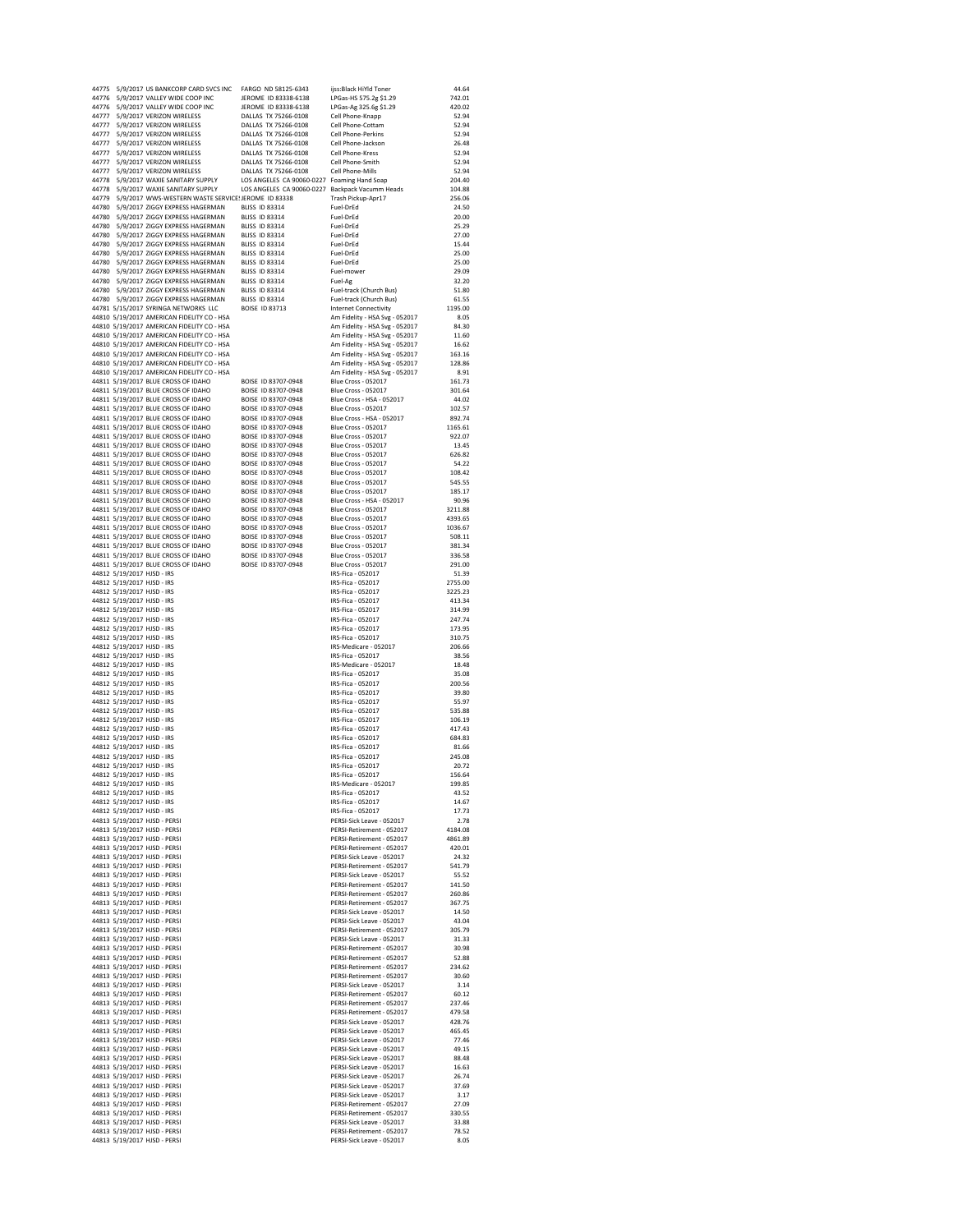|       | 44775 5/9/2017 US BANKCORP CARD SVCS INC FARGO ND 58125-6343 |                                                 | ijss:Black HiYld Toner                                 | 44.64         |
|-------|--------------------------------------------------------------|-------------------------------------------------|--------------------------------------------------------|---------------|
|       | 44776 5/9/2017 VALLEY WIDE COOP INC                          | IFROME ID 83338-6138                            | LPGas-HS 575.2g \$1.29                                 | 742.01        |
|       | 44776 5/9/2017 VALLEY WIDE COOP INC                          | JEROME ID 83338-6138                            | LPGas-Ag 325.6g \$1.29                                 | 420.02        |
|       | 44777 5/9/2017 VERIZON WIRELESS                              | DALLAS TX 75266-0108                            | Cell Phone-Knapp                                       | 52.94         |
|       | 44777 5/9/2017 VERIZON WIRELESS                              | DALLAS TX 75266-0108                            | Cell Phone-Cottam                                      | 52.94         |
|       | 44777 5/9/2017 VERIZON WIRELESS                              | DALLAS TX 75266-0108                            | Cell Phone-Perkins                                     | 52.94         |
|       | 44777 5/9/2017 VERIZON WIRELESS                              | DALLAS TX 75266-0108                            | Cell Phone-Jackson                                     | 26.48         |
|       | 44777 5/9/2017 VERIZON WIRELESS                              | DALLAS TX 75266-0108                            | Cell Phone-Kress                                       | 52.94         |
|       | 44777 5/9/2017 VERIZON WIRELESS                              | DALLAS TX 75266-0108                            | Cell Phone-Smith                                       | 52.94         |
|       | 44777 5/9/2017 VERIZON WIRELESS                              | DALLAS TX 75266-0108                            | Cell Phone-Mills                                       | 52.94         |
|       | 44778 5/9/2017 WAXIE SANITARY SUPPLY                         | LOS ANGELES CA 90060-0227 Foaming Hand Soap     |                                                        | 204.40        |
|       | 44778 5/9/2017 WAXIE SANITARY SUPPLY                         | LOS ANGELES CA 90060-0227 Backpack Vacumm Heads |                                                        | 104.88        |
|       | 44779 5/9/2017 WWS-WESTERN WASTE SERVICE! JEROME ID 83338    |                                                 | Trash Pickup-Apr17                                     | 256.06        |
| 44780 | 5/9/2017 ZIGGY EXPRESS HAGERMAN                              | BLISS ID 83314                                  | Fuel-DrEd                                              | 24.50         |
| 44780 | 5/9/2017 ZIGGY EXPRESS HAGERMAN                              | <b>BLISS ID 83314</b>                           | Fuel-DrEd                                              | 20.00         |
| 44780 | 5/9/2017 ZIGGY EXPRESS HAGERMAN                              | <b>BLISS ID 83314</b>                           | Fuel-DrEd                                              | 25.29         |
|       | 44780 5/9/2017 ZIGGY EXPRESS HAGERMAN                        | <b>BLISS ID 83314</b>                           | Fuel-DrEd                                              | 27.00         |
|       | 44780 5/9/2017 ZIGGY EXPRESS HAGERMAN                        | <b>BLISS ID 83314</b>                           | Fuel-DrEd                                              | 15.44         |
|       | 44780 5/9/2017 ZIGGY EXPRESS HAGERMAN                        | <b>BLISS ID 83314</b>                           | Fuel-DrEd                                              | 25.00         |
|       | 44780 5/9/2017 ZIGGY EXPRESS HAGERMAN                        | <b>BLISS ID 83314</b>                           | Fuel-DrEd                                              | 25.00         |
|       | 44780 5/9/2017 ZIGGY EXPRESS HAGERMAN                        | <b>BLISS ID 83314</b>                           | Fuel-mower                                             | 29.09         |
|       | 44780 5/9/2017 ZIGGY EXPRESS HAGERMAN                        | <b>BLISS ID 83314</b>                           | Fuel-Ag                                                | 32.20         |
|       | 44780 5/9/2017 ZIGGY EXPRESS HAGERMAN                        | <b>BLISS ID 83314</b>                           | Fuel-track (Church Bus)                                | 51.80         |
|       | 44780 5/9/2017 ZIGGY EXPRESS HAGERMAN                        | <b>BLISS ID 83314</b>                           | Fuel-track (Church Bus)                                | 61.55         |
|       | 44781 5/15/2017 SYRINGA NETWORKS LLC                         | BOISE ID 83713                                  | <b>Internet Connectivity</b>                           | 1195.00       |
|       | 44810 5/19/2017 AMERICAN FIDELITY CO - HSA                   |                                                 | Am Fidelity - HSA Svg - 052017                         | 8.05          |
|       | 44810 5/19/2017 AMERICAN FIDELITY CO - HSA                   |                                                 | Am Fidelity - HSA Svg - 052017                         | 84.30         |
|       | 44810 5/19/2017 AMERICAN FIDELITY CO - HSA                   |                                                 | Am Fidelity - HSA Svg - 052017                         | 11.60         |
|       | 44810 5/19/2017 AMERICAN FIDELITY CO - HSA                   |                                                 | Am Fidelity - HSA Svg - 052017                         | 16.62         |
|       | 44810 5/19/2017 AMERICAN FIDELITY CO - HSA                   |                                                 | Am Fidelity - HSA Svg - 052017                         | 163.16        |
|       | 44810 5/19/2017 AMERICAN FIDELITY CO - HSA                   |                                                 | Am Fidelity - HSA Svg - 052017                         | 128.86        |
|       | 44810 5/19/2017 AMERICAN FIDELITY CO - HSA                   |                                                 | Am Fidelity - HSA Svg - 052017                         | 8.91          |
|       | 44811 5/19/2017 BLUE CROSS OF IDAHO                          | BOISE ID 83707-0948                             | <b>Blue Cross - 052017</b>                             | 161.73        |
|       | 44811 5/19/2017 BLUE CROSS OF IDAHO                          | BOISE ID 83707-0948                             | Blue Cross - 052017                                    | 301.64        |
|       | 44811 5/19/2017 BLUE CROSS OF IDAHO                          | BOISE ID 83707-0948                             | Blue Cross - HSA - 052017                              | 44.02         |
|       | 44811 5/19/2017 BLUE CROSS OF IDAHO                          | BOISE ID 83707-0948                             | <b>Blue Cross - 052017</b>                             | 102.57        |
|       | 44811 5/19/2017 BLUE CROSS OF IDAHO                          | BOISE ID 83707-0948                             | Blue Cross - HSA - 052017                              | 892.74        |
|       | 44811 5/19/2017 BLUE CROSS OF IDAHO                          | BOISE ID 83707-0948                             | <b>Blue Cross - 052017</b>                             | 1165.61       |
|       | 44811 5/19/2017 BLUE CROSS OF IDAHO                          | BOISE ID 83707-0948                             | Blue Cross - 052017                                    | 922.07        |
|       | 44811 5/19/2017 BLUE CROSS OF IDAHO                          | BOISE ID 83707-0948                             | <b>Blue Cross - 052017</b>                             | 13.45         |
|       | 44811 5/19/2017 BLUE CROSS OF IDAHO                          | BOISE ID 83707-0948                             | <b>Blue Cross - 052017</b>                             | 626.82        |
|       | 44811 5/19/2017 BLUE CROSS OF IDAHO                          | BOISE ID 83707-0948                             | Blue Cross - 052017                                    | 54.22         |
|       | 44811 5/19/2017 BLUE CROSS OF IDAHO                          | BOISE ID 83707-0948                             | <b>Blue Cross - 052017</b>                             | 108.42        |
|       | 44811 5/19/2017 BLUE CROSS OF IDAHO                          | BOISE ID 83707-0948                             | Blue Cross - 052017                                    | 545.55        |
|       | 44811 5/19/2017 BLUE CROSS OF IDAHO                          | BOISE ID 83707-0948                             | <b>Blue Cross - 052017</b>                             | 185.17        |
|       | 44811 5/19/2017 BLUE CROSS OF IDAHO                          | BOISE ID 83707-0948                             | Blue Cross - HSA - 052017                              | 90.96         |
|       | 44811 5/19/2017 BLUE CROSS OF IDAHO                          | BOISE ID 83707-0948                             | <b>Blue Cross - 052017</b>                             | 3211.88       |
|       | 44811 5/19/2017 BLUE CROSS OF IDAHO                          | BOISE ID 83707-0948                             | <b>Blue Cross - 052017</b>                             | 4393.65       |
|       | 44811 5/19/2017 BLUE CROSS OF IDAHO                          | BOISE ID 83707-0948                             | <b>Blue Cross - 052017</b>                             | 1036.67       |
|       | 44811 5/19/2017 BLUE CROSS OF IDAHO                          | BOISE ID 83707-0948                             | <b>Blue Cross - 052017</b>                             | 508.11        |
|       | 44811 5/19/2017 BLUE CROSS OF IDAHO                          | BOISE ID 83707-0948                             | Blue Cross - 052017                                    | 381.34        |
|       | 44811 5/19/2017 BLUE CROSS OF IDAHO                          | BOISE ID 83707-0948                             | <b>Blue Cross - 052017</b>                             | 336.58        |
|       | 44811 5/19/2017 BLUE CROSS OF IDAHO                          | BOISE ID 83707-0948                             | <b>Blue Cross - 052017</b>                             | 291.00        |
|       | 44812 5/19/2017 HJSD - IRS                                   |                                                 | IRS-Fica - 052017                                      | 51.39         |
|       | 44812 5/19/2017 HJSD - IRS                                   |                                                 | IRS-Fica - 052017                                      | 2755.00       |
|       | 44812 5/19/2017 HJSD - IRS                                   |                                                 | IRS-Fica - 052017                                      | 3225.23       |
|       | 44812 5/19/2017 HJSD - IRS                                   |                                                 | IRS-Fica - 052017                                      | 413.34        |
|       | 44812 5/19/2017 HJSD - IRS                                   |                                                 | IRS-Fica - 052017                                      | 314.99        |
|       | 44812 5/19/2017 HJSD - IRS                                   |                                                 | IRS-Fica - 052017                                      | 247.74        |
|       | 44812 5/19/2017 HJSD - IRS                                   |                                                 | IRS-Fica - 052017                                      | 173.95        |
|       | 44812 5/19/2017 HJSD - IRS                                   |                                                 | IRS-Fica - 052017                                      | 310.75        |
|       | 44812 5/19/2017 HJSD - IRS                                   |                                                 | IRS-Medicare - 052017                                  | 206.66        |
|       | 44812 5/19/2017 HJSD - IRS                                   |                                                 | IRS-Fica - 052017                                      | 38.56         |
|       | 44812 5/19/2017 HJSD - IRS                                   |                                                 | IRS-Medicare - 052017                                  | 18.48         |
|       | 44812 5/19/2017 HJSD - IRS                                   |                                                 | IRS-Fica - 052017                                      | 35.08         |
|       | 44812 5/19/2017 HJSD - IRS                                   |                                                 | IRS-Fica - 052017                                      | 200.56        |
|       | 44812 5/19/2017 HJSD - IRS                                   |                                                 | IRS-Fica - 052017                                      | 39.80         |
|       | 44812 5/19/2017 HJSD - IRS                                   |                                                 | IRS-Fica - 052017                                      | 55.97         |
|       | 44812 5/19/2017 HJSD - IRS                                   |                                                 | IRS-Fica - 052017                                      | 535.88        |
|       | 44812 5/19/2017 HJSD - IRS                                   |                                                 | IRS-Fica - 052017                                      | 106.19        |
|       | 44812 5/19/2017 HJSD - IRS                                   |                                                 | IRS-Fica - 052017                                      | 417.43        |
|       | 44812 5/19/2017 HJSD - IRS                                   |                                                 | IRS-Fica - 052017                                      | 684.83        |
|       | 44812 5/19/2017 HJSD - IRS                                   |                                                 | IRS-Fica - 052017                                      | 81.66         |
|       | 44812 5/19/2017 HJSD - IRS                                   |                                                 | IRS-Fica - 052017                                      | 245.08        |
|       | 44812 5/19/2017 HJSD - IRS                                   |                                                 | IRS-Fica - 052017                                      | 20.72         |
|       | 44812 5/19/2017 HJSD - IRS                                   |                                                 | IRS-Fica - 052017                                      | 156.64        |
|       | 44812 5/19/2017 HJSD - IRS                                   |                                                 | IRS-Medicare - 052017                                  | 199.85        |
|       | 44812 5/19/2017 HJSD - IRS                                   |                                                 | IRS-Fica - 052017                                      | 43.52         |
|       | 44812 5/19/2017 HJSD - IRS                                   |                                                 | IRS-Fica - 052017                                      | 14.67         |
|       | 44812 5/19/2017 HJSD - IRS                                   |                                                 | IRS-Fica - 052017                                      | 17.73         |
|       | 44813 5/19/2017 HJSD - PERSI                                 |                                                 | PERSI-Sick Leave - 052017                              | 2.78          |
|       | 44813 5/19/2017 HJSD - PERSI                                 |                                                 | PERSI-Retirement - 052017                              | 4184.08       |
|       | 44813 5/19/2017 HJSD - PERSI                                 |                                                 | PERSI-Retirement - 052017                              | 4861.89       |
|       | 44813 5/19/2017 HJSD - PERSI                                 |                                                 | PERSI-Retirement - 052017                              | 420.01        |
|       | 44813 5/19/2017 HJSD - PERSI                                 |                                                 | PERSI-Sick Leave - 052017                              | 24.32         |
|       | 44813 5/19/2017 HJSD - PERSI                                 |                                                 | PERSI-Retirement - 052017                              | 541.79        |
|       | 44813 5/19/2017 HJSD - PERSI                                 |                                                 | PERSI-Sick Leave - 052017                              | 55.52         |
|       | 44813 5/19/2017 HJSD - PERSI                                 |                                                 | PERSI-Retirement - 052017                              | 141.50        |
|       | 44813 5/19/2017 HJSD - PERSI                                 |                                                 | PERSI-Retirement - 052017                              | 260.86        |
|       | 44813 5/19/2017 HJSD - PERSI                                 |                                                 | PERSI-Retirement - 052017                              | 367.75        |
|       | 44813 5/19/2017 HJSD - PERSI                                 |                                                 | PERSI-Sick Leave - 052017                              | 14.50         |
|       | 44813 5/19/2017 HJSD - PERSI                                 |                                                 | PERSI-Sick Leave - 052017                              | 43.04         |
|       | 44813 5/19/2017 HJSD - PERSI                                 |                                                 | PERSI-Retirement - 052017                              | 305.79        |
|       | 44813 5/19/2017 HJSD - PERSI                                 |                                                 | PERSI-Sick Leave - 052017                              | 31.33         |
|       | 44813 5/19/2017 HJSD - PERSI                                 |                                                 | PERSI-Retirement - 052017                              | 30.98         |
|       | 44813 5/19/2017 HJSD - PERSI                                 |                                                 | PERSI-Retirement - 052017                              | 52.88         |
|       | 44813 5/19/2017 HJSD - PERSI                                 |                                                 | PERSI-Retirement - 052017                              | 234.62        |
|       | 44813 5/19/2017 HJSD - PERSI                                 |                                                 | PERSI-Retirement - 052017                              | 30.60         |
|       | 44813 5/19/2017 HJSD - PERSI                                 |                                                 | PERSI-Sick Leave - 052017                              | 3.14          |
|       | 44813 5/19/2017 HJSD - PERSI                                 |                                                 | PERSI-Retirement - 052017                              | 60.12         |
|       | 44813 5/19/2017 HJSD - PERSI                                 |                                                 | PERSI-Retirement - 052017                              | 237.46        |
|       | 44813 5/19/2017 HJSD - PERSI                                 |                                                 | PERSI-Retirement - 052017                              | 479.58        |
|       | 44813 5/19/2017 HJSD - PERSI                                 |                                                 | PERSI-Sick Leave - 052017                              | 428.76        |
|       | 44813 5/19/2017 HJSD - PERSI                                 |                                                 | PERSI-Sick Leave - 052017                              | 465.45        |
|       | 44813 5/19/2017 HJSD - PERSI                                 |                                                 | PERSI-Sick Leave - 052017                              | 77.46         |
|       | 44813 5/19/2017 HJSD - PERSI                                 |                                                 | PERSI-Sick Leave - 052017                              | 49.15         |
|       | 44813 5/19/2017 HJSD - PERSI                                 |                                                 | PERSI-Sick Leave - 052017                              | 88.48         |
|       | 44813 5/19/2017 HJSD - PERSI                                 |                                                 | PERSI-Sick Leave - 052017                              | 16.63         |
|       |                                                              |                                                 | PERSI-Sick Leave - 052017                              |               |
|       | 44813 5/19/2017 HJSD - PERSI                                 |                                                 |                                                        | 26.74         |
|       | 44813 5/19/2017 HJSD - PERSI                                 |                                                 | PERSI-Sick Leave - 052017<br>PERSI-Sick Leave - 052017 | 37.69<br>3.17 |
|       | 44813 5/19/2017 HJSD - PERSI                                 |                                                 |                                                        |               |
|       | 44813 5/19/2017 HJSD - PERSI                                 |                                                 | PERSI-Retirement - 052017                              | 27.09         |
|       | 44813 5/19/2017 HJSD - PERSI                                 |                                                 | PERSI-Retirement - 052017                              | 330.55        |
|       | 44813 5/19/2017 HJSD - PERSI                                 |                                                 | PERSI-Sick Leave - 052017                              | 33.88         |
|       | 44813 5/19/2017 HJSD - PERSI                                 |                                                 | PERSI-Retirement - 052017                              | 78.52         |
|       | 44813 5/19/2017 HJSD - PERSI                                 |                                                 | PERSI-Sick Leave - 052017                              | 8.05          |